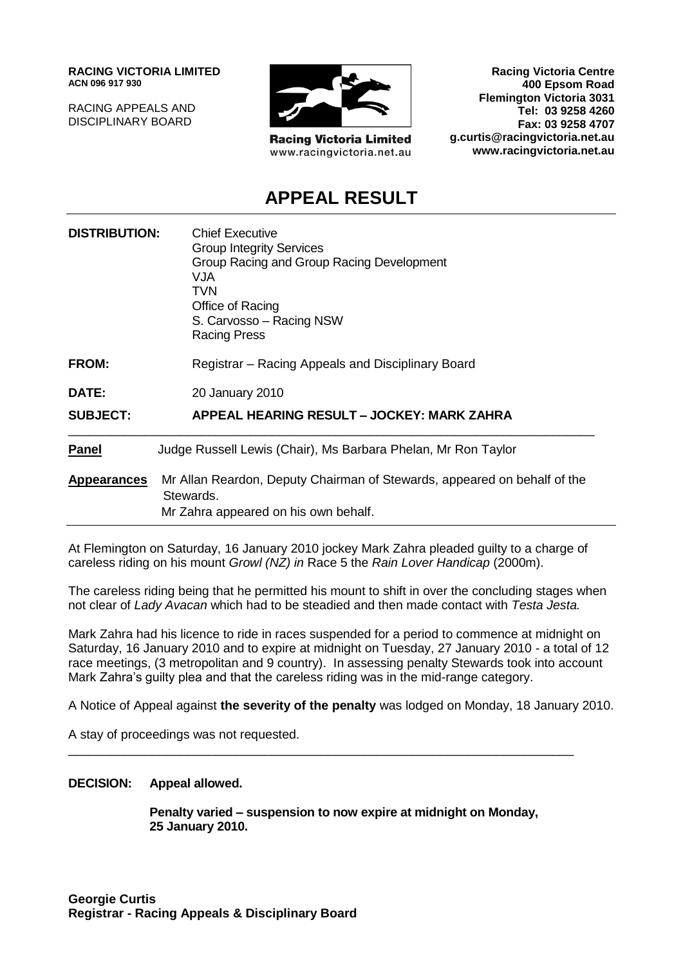**RACING VICTORIA LIMITED ACN 096 917 930**

RACING APPEALS AND DISCIPLINARY BOARD



**Racing Victoria Limited** www.racingvictoria.net.au

**Racing Victoria Centre 400 Epsom Road Flemington Victoria 3031 Tel: 03 9258 4260 Fax: 03 9258 4707 g.curtis@racingvictoria.net.au www.racingvictoria.net.au**

## **APPEAL RESULT**

| <b>DISTRIBUTION:</b> | <b>Chief Executive</b><br><b>Group Integrity Services</b><br>Group Racing and Group Racing Development<br>VJA<br><b>TVN</b><br>Office of Racing<br>S. Carvosso - Racing NSW<br><b>Racing Press</b> |
|----------------------|----------------------------------------------------------------------------------------------------------------------------------------------------------------------------------------------------|
| FROM:                | Registrar – Racing Appeals and Disciplinary Board                                                                                                                                                  |
| DATE:                | 20 January 2010                                                                                                                                                                                    |
| <b>SUBJECT:</b>      | APPEAL HEARING RESULT - JOCKEY: MARK ZAHRA                                                                                                                                                         |
| <b>Panel</b>         | Judge Russell Lewis (Chair), Ms Barbara Phelan, Mr Ron Taylor                                                                                                                                      |
| <b>Appearances</b>   | Mr Allan Reardon, Deputy Chairman of Stewards, appeared on behalf of the<br>Stewards.<br>Mr Zahra appeared on his own behalf.                                                                      |

At Flemington on Saturday, 16 January 2010 jockey Mark Zahra pleaded guilty to a charge of careless riding on his mount *Growl (NZ) in* Race 5 the *Rain Lover Handicap* (2000m).

The careless riding being that he permitted his mount to shift in over the concluding stages when not clear of *Lady Avacan* which had to be steadied and then made contact with *Testa Jesta.*

Mark Zahra had his licence to ride in races suspended for a period to commence at midnight on Saturday, 16 January 2010 and to expire at midnight on Tuesday, 27 January 2010 - a total of 12 race meetings, (3 metropolitan and 9 country). In assessing penalty Stewards took into account Mark Zahra's guilty plea and that the careless riding was in the mid-range category.

A Notice of Appeal against **the severity of the penalty** was lodged on Monday, 18 January 2010.

\_\_\_\_\_\_\_\_\_\_\_\_\_\_\_\_\_\_\_\_\_\_\_\_\_\_\_\_\_\_\_\_\_\_\_\_\_\_\_\_\_\_\_\_\_\_\_\_\_\_\_\_\_\_\_\_\_\_\_\_\_\_\_\_\_\_\_\_\_\_\_\_

A stay of proceedings was not requested.

#### **DECISION: Appeal allowed.**

**Penalty varied – suspension to now expire at midnight on Monday, 25 January 2010.**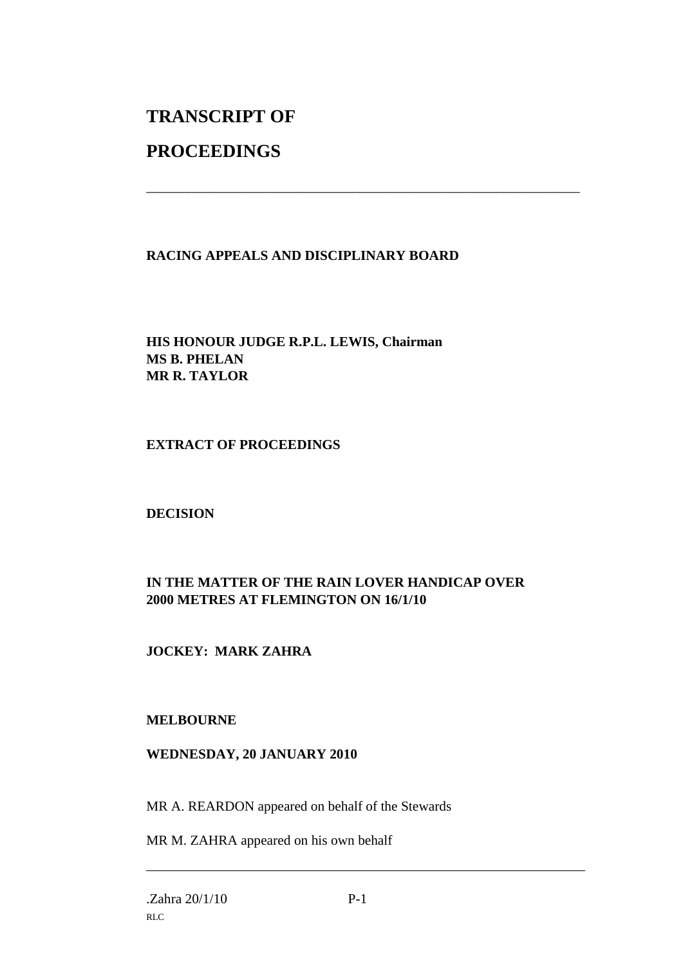# **TRANSCRIPT OF**

## **PROCEEDINGS**

#### **RACING APPEALS AND DISCIPLINARY BOARD**

\_\_\_\_\_\_\_\_\_\_\_\_\_\_\_\_\_\_\_\_\_\_\_\_\_\_\_\_\_\_\_\_\_\_\_\_\_\_\_\_\_\_\_\_\_\_\_\_\_\_\_\_\_\_\_\_\_\_\_\_\_\_\_

#### **HIS HONOUR JUDGE R.P.L. LEWIS, Chairman MS B. PHELAN MR R. TAYLOR**

#### **EXTRACT OF PROCEEDINGS**

#### **DECISION**

#### **IN THE MATTER OF THE RAIN LOVER HANDICAP OVER 2000 METRES AT FLEMINGTON ON 16/1/10**

### **JOCKEY: MARK ZAHRA**

#### **MELBOURNE**

#### **WEDNESDAY, 20 JANUARY 2010**

MR A. REARDON appeared on behalf of the Stewards

MR M. ZAHRA appeared on his own behalf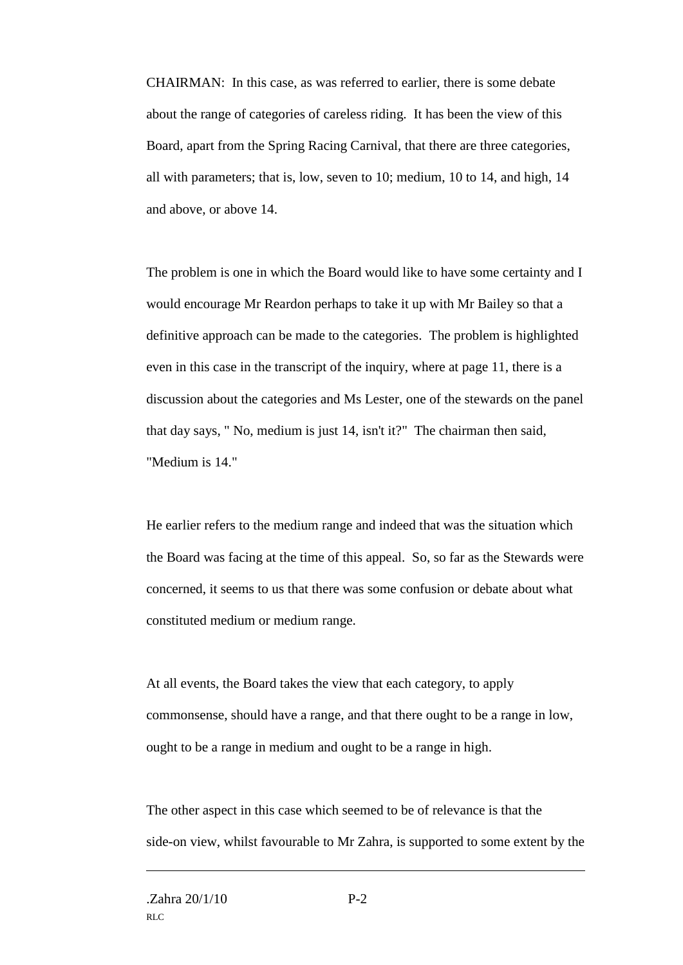CHAIRMAN: In this case, as was referred to earlier, there is some debate about the range of categories of careless riding. It has been the view of this Board, apart from the Spring Racing Carnival, that there are three categories, all with parameters; that is, low, seven to 10; medium, 10 to 14, and high, 14 and above, or above 14.

The problem is one in which the Board would like to have some certainty and I would encourage Mr Reardon perhaps to take it up with Mr Bailey so that a definitive approach can be made to the categories. The problem is highlighted even in this case in the transcript of the inquiry, where at page 11, there is a discussion about the categories and Ms Lester, one of the stewards on the panel that day says, " No, medium is just 14, isn't it?" The chairman then said, "Medium is 14."

He earlier refers to the medium range and indeed that was the situation which the Board was facing at the time of this appeal. So, so far as the Stewards were concerned, it seems to us that there was some confusion or debate about what constituted medium or medium range.

At all events, the Board takes the view that each category, to apply commonsense, should have a range, and that there ought to be a range in low, ought to be a range in medium and ought to be a range in high.

The other aspect in this case which seemed to be of relevance is that the side-on view, whilst favourable to Mr Zahra, is supported to some extent by the